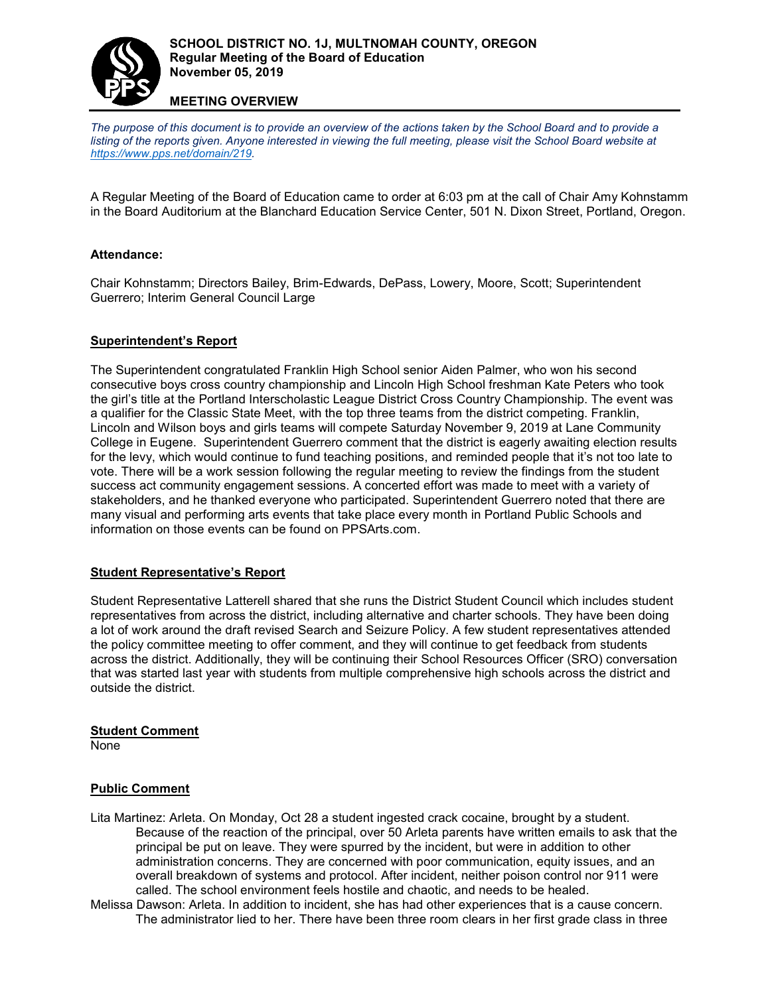

### **MEETING OVERVIEW**

*The purpose of this document is to provide an overview of the actions taken by the School Board and to provide a*  listing of the reports given. Anyone interested in viewing the full meeting, please visit the School Board website at *[https://www.pps.net/domain/219.](https://www.pps.net/domain/219)* 

A Regular Meeting of the Board of Education came to order at 6:03 pm at the call of Chair Amy Kohnstamm in the Board Auditorium at the Blanchard Education Service Center, 501 N. Dixon Street, Portland, Oregon.

### **Attendance:**

Chair Kohnstamm; Directors Bailey, Brim-Edwards, DePass, Lowery, Moore, Scott; Superintendent Guerrero; Interim General Council Large

#### **Superintendent's Report**

The Superintendent congratulated Franklin High School senior Aiden Palmer, who won his second consecutive boys cross country championship and Lincoln High School freshman Kate Peters who took the girl's title at the Portland Interscholastic League District Cross Country Championship. The event was a qualifier for the Classic State Meet, with the top three teams from the district competing. Franklin, Lincoln and Wilson boys and girls teams will compete Saturday November 9, 2019 at Lane Community College in Eugene. Superintendent Guerrero comment that the district is eagerly awaiting election results for the levy, which would continue to fund teaching positions, and reminded people that it's not too late to vote. There will be a work session following the regular meeting to review the findings from the student success act community engagement sessions. A concerted effort was made to meet with a variety of stakeholders, and he thanked everyone who participated. Superintendent Guerrero noted that there are many visual and performing arts events that take place every month in Portland Public Schools and information on those events can be found on PPSArts.com.

### **Student Representative's Report**

Student Representative Latterell shared that she runs the District Student Council which includes student representatives from across the district, including alternative and charter schools. They have been doing a lot of work around the draft revised Search and Seizure Policy. A few student representatives attended the policy committee meeting to offer comment, and they will continue to get feedback from students across the district. Additionally, they will be continuing their School Resources Officer (SRO) conversation that was started last year with students from multiple comprehensive high schools across the district and outside the district.

### **Student Comment**

None

### **Public Comment**

- Lita Martinez: Arleta. On Monday, Oct 28 a student ingested crack cocaine, brought by a student. Because of the reaction of the principal, over 50 Arleta parents have written emails to ask that the principal be put on leave. They were spurred by the incident, but were in addition to other administration concerns. They are concerned with poor communication, equity issues, and an overall breakdown of systems and protocol. After incident, neither poison control nor 911 were called. The school environment feels hostile and chaotic, and needs to be healed.
- Melissa Dawson: Arleta. In addition to incident, she has had other experiences that is a cause concern. The administrator lied to her. There have been three room clears in her first grade class in three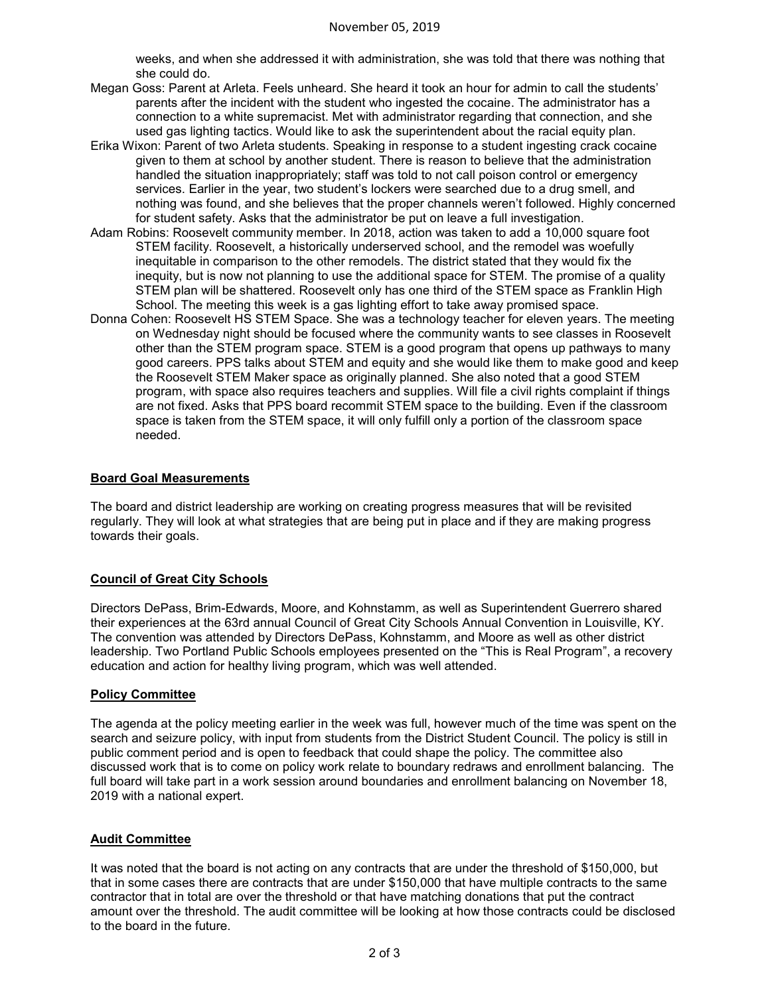weeks, and when she addressed it with administration, she was told that there was nothing that she could do.

- Megan Goss: Parent at Arleta. Feels unheard. She heard it took an hour for admin to call the students' parents after the incident with the student who ingested the cocaine. The administrator has a connection to a white supremacist. Met with administrator regarding that connection, and she used gas lighting tactics. Would like to ask the superintendent about the racial equity plan.
- Erika Wixon: Parent of two Arleta students. Speaking in response to a student ingesting crack cocaine given to them at school by another student. There is reason to believe that the administration handled the situation inappropriately; staff was told to not call poison control or emergency services. Earlier in the year, two student's lockers were searched due to a drug smell, and nothing was found, and she believes that the proper channels weren't followed. Highly concerned for student safety. Asks that the administrator be put on leave a full investigation.
- Adam Robins: Roosevelt community member. In 2018, action was taken to add a 10,000 square foot STEM facility. Roosevelt, a historically underserved school, and the remodel was woefully inequitable in comparison to the other remodels. The district stated that they would fix the inequity, but is now not planning to use the additional space for STEM. The promise of a quality STEM plan will be shattered. Roosevelt only has one third of the STEM space as Franklin High School. The meeting this week is a gas lighting effort to take away promised space.
- Donna Cohen: Roosevelt HS STEM Space. She was a technology teacher for eleven years. The meeting on Wednesday night should be focused where the community wants to see classes in Roosevelt other than the STEM program space. STEM is a good program that opens up pathways to many good careers. PPS talks about STEM and equity and she would like them to make good and keep the Roosevelt STEM Maker space as originally planned. She also noted that a good STEM program, with space also requires teachers and supplies. Will file a civil rights complaint if things are not fixed. Asks that PPS board recommit STEM space to the building. Even if the classroom space is taken from the STEM space, it will only fulfill only a portion of the classroom space needed.

### **Board Goal Measurements**

The board and district leadership are working on creating progress measures that will be revisited regularly. They will look at what strategies that are being put in place and if they are making progress towards their goals.

## **Council of Great City Schools**

Directors DePass, Brim-Edwards, Moore, and Kohnstamm, as well as Superintendent Guerrero shared their experiences at the 63rd annual Council of Great City Schools Annual Convention in Louisville, KY. The convention was attended by Directors DePass, Kohnstamm, and Moore as well as other district leadership. Two Portland Public Schools employees presented on the "This is Real Program", a recovery education and action for healthy living program, which was well attended.

### **Policy Committee**

The agenda at the policy meeting earlier in the week was full, however much of the time was spent on the search and seizure policy, with input from students from the District Student Council. The policy is still in public comment period and is open to feedback that could shape the policy. The committee also discussed work that is to come on policy work relate to boundary redraws and enrollment balancing. The full board will take part in a work session around boundaries and enrollment balancing on November 18, 2019 with a national expert.

### **Audit Committee**

It was noted that the board is not acting on any contracts that are under the threshold of \$150,000, but that in some cases there are contracts that are under \$150,000 that have multiple contracts to the same contractor that in total are over the threshold or that have matching donations that put the contract amount over the threshold. The audit committee will be looking at how those contracts could be disclosed to the board in the future.